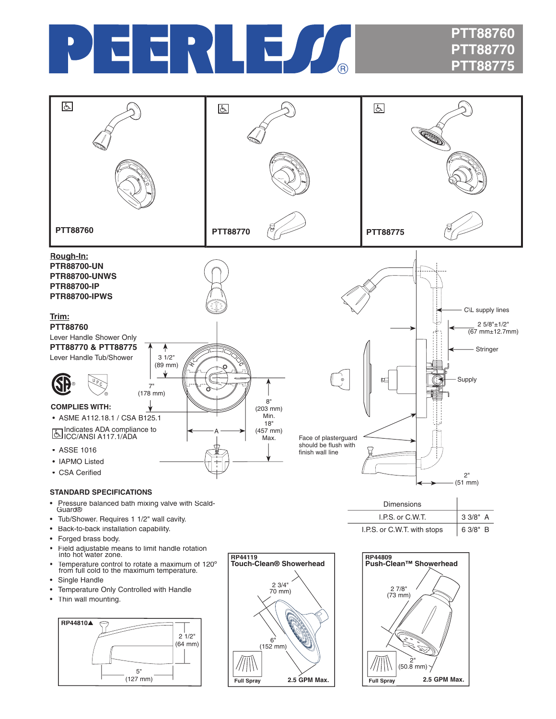

## **PTT88760 PTT88770 PTT88775**



- Tub/Shower. Requires 1 1/2" wall cavity.
- Back-to-back installation capability.
- Forged brass body.
- Field adjustable means to limit handle rotation into hot water zone.
- Temperature control to rotate a maximum of 120° from full cold to the maximum temperature.
- Single Handle
- Temperature Only Controlled with Handle
- Thin wall mounting.







I.P.S. or C.W.T. with stops  $\begin{array}{|c|c|} \hline \end{array}$  6 3/8" B